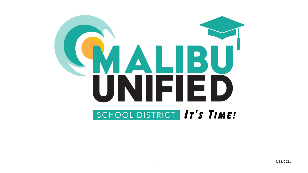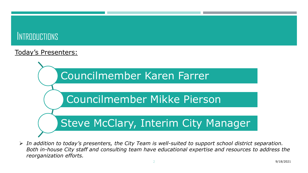# **INTRODUCTIONS**

#### Today's Presenters:



 *In addition to today's presenters, the City Team is well-suited to support school district separation. Both in-house City staff and consulting team have educational expertise and resources to address the reorganization efforts.*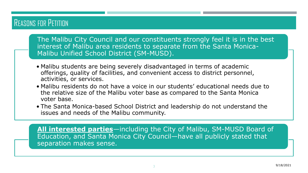## REASONS FOR PETITION

The Malibu City Council and our constituents strongly feel it is in the best interest of Malibu area residents to separate from the Santa Monica-Malibu Unified School District (SM-MUSD).

- Malibu students are being severely disadvantaged in terms of academic offerings, quality of facilities, and convenient access to district personnel, activities, or services.
- Malibu residents do not have a voice in our students' educational needs due to the relative size of the Malibu voter base as compared to the Santa Monica voter base.
- The Santa Monica-based School District and leadership do not understand the issues and needs of the Malibu community.

**All interested parties**—including the City of Malibu, SM-MUSD Board of Education, and Santa Monica City Council—have all publicly stated that separation makes sense.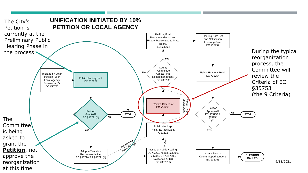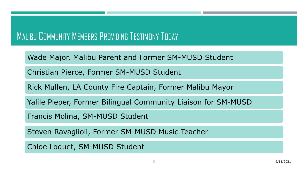# MALIBU COMMUNITY MEMBERS PROVIDING TESTIMONY TODAY

Wade Major, Malibu Parent and Former SM-MUSD Student

Christian Pierce, Former SM-MUSD Student

Rick Mullen, LA County Fire Captain, Former Malibu Mayor

Yalile Pieper, Former Bilingual Community Liaison for SM-MUSD

Francis Molina, SM-MUSD Student

Steven Ravaglioli, Former SM-MUSD Music Teacher

Chloe Loquet, SM-MUSD Student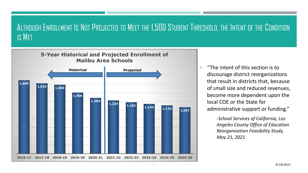### ALTHOUGH ENROLLMENT IS NOT PROJECTED TO MEET THE 1,500 STUDENT THRESHOLD, THE INTENT OF THE CONDITION IS MET



 $\blacksquare$  "The intent of this section is to discourage district reorganizations that result in districts that, because of small size and reduced revenues, become more dependent upon the local COE or the State for administrative support or funding."

> -*School Services of California, Los Angeles County Office of Education Reorganization Feasibility Study, May 21, 2021*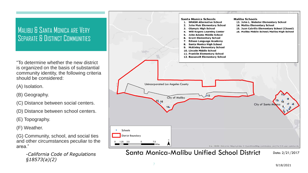### MALIBU & SANTA MONICA ARE VERY SEPARATE & DISTINCT COMMUNITIES

"To determine whether the new district is organized on the basis of substantial community identity, the following criteria should be considered:

(A) Isolation.

(B) Geography.

(C) Distance between social centers.

(D) Distance between school centers.

(E) Topography.

(F) Weather.

(G) Community, school, and social ties and other circumstances peculiar to the area."

> *-California Code of Regulations §18573(a)(2)*



Santa Monica-Malibu Unified School District Date: 2/21/2017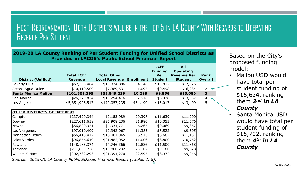## POST-REORGANIZATION, BOTH DISTRICTS WILL BE IN THE TOP 5 IN LA COUNTY WITH REGARDS TO OPERATING REVENUE PER STUDENT

| 2019-20 LA County Ranking of Per Student Funding for Unified School Districts as<br><b>Provided in LACOE's Public School Financial Report</b> |                                     |                                            |                   |                                                        |                                                                        |                        |
|-----------------------------------------------------------------------------------------------------------------------------------------------|-------------------------------------|--------------------------------------------|-------------------|--------------------------------------------------------|------------------------------------------------------------------------|------------------------|
| <b>District (Unified)</b>                                                                                                                     | <b>Total LCFF</b><br><b>Revenue</b> | <b>Total Other</b><br><b>Local Revenue</b> | <b>Enrollment</b> | <b>LCFF</b><br><b>Funding</b><br>Per<br><b>Student</b> | <b>All</b><br><b>Operating</b><br><b>Revenue Per</b><br><b>Student</b> | Rank<br><b>Overall</b> |
| <b>Beverly Hills</b>                                                                                                                          | \$57,285,464                        | \$15,374,886                               | 4,146             | \$13,817                                               | \$17,525                                                               | 1.                     |
| Acton- Agua Dulce                                                                                                                             | \$10,419,509                        | \$7,389,531                                | 1,097             | \$9,498                                                | \$16,234                                                               | 2                      |
| <b>Santa Monica Malibu</b>                                                                                                                    | \$101,501,395                       | \$53,849,229                               | 10,298            | \$9,856                                                | \$15,086                                                               | 3                      |
| San Marino                                                                                                                                    | \$26,179,834                        | \$13,294,416                               | 2,916             | \$8,978                                                | \$13,537                                                               | $\overline{4}$         |
| Los Angeles                                                                                                                                   | \$5,651,908,517                     | \$170,057,235                              | 434,190           | \$13,017                                               | \$13,409                                                               | 5                      |
| <b>OTHER DISTIRCTS OF INTEREST</b>                                                                                                            |                                     |                                            |                   |                                                        |                                                                        |                        |
| Compton                                                                                                                                       | \$237,420,344                       | \$7,153,989                                | 20,398            | \$11,639                                               | \$11,990                                                               |                        |
| Downey                                                                                                                                        | \$227,611,658                       | \$26,908,236                               | 21,986            | \$10,353                                               | \$11,576                                                               |                        |
| Newhall                                                                                                                                       | \$56,820,351                        | \$4,934,771                                | 6,265             | \$9,069                                                | \$9,857                                                                |                        |
| Las Viergenes                                                                                                                                 | \$97,019,409                        | \$9,942,067                                | 11,385            | \$8,522                                                | \$9,395                                                                |                        |
| Manhattan Beach                                                                                                                               | \$56,415,417                        | \$16,081,045                               | 6,513             | \$8,662                                                | \$11,131                                                               |                        |
| Palos Verdes                                                                                                                                  | \$96,856,649                        | \$21,482,052                               | 11,006            | \$8,800                                                | \$10,752                                                               |                        |
| Rowland                                                                                                                                       | \$148,183,374                       | \$4,746,366                                | 12,886            | \$11,500                                               | \$11,868                                                               |                        |
| Torrance                                                                                                                                      | \$211,663,738                       | \$10,800,232                               | 23,107            | \$9,160                                                | \$9,628                                                                |                        |
| William S Hart                                                                                                                                | \$202,732,293                       | \$21,994,270                               | 22,595            | \$8,972                                                | \$9,946                                                                |                        |

*Source: 2019-20 LA County Public Schools Financial Report (Tables 2, 6).*

Based on the City's proposed funding model:

- Malibu USD would have total per student funding of \$16,624, ranking them *2nd in LA County*
- Santa Monica USD would have total per student funding of \$15,702, ranking them *4th in LA County*